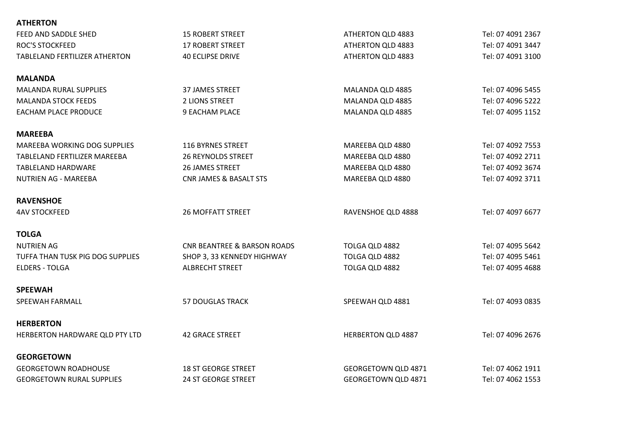| <b>15 ROBERT STREET</b>                | ATHERTON QLD 4883          | Tel: 07 4091 2367 |
|----------------------------------------|----------------------------|-------------------|
| <b>17 ROBERT STREET</b>                | ATHERTON QLD 4883          | Tel: 07 4091 3447 |
| <b>40 ECLIPSE DRIVE</b>                | ATHERTON QLD 4883          | Tel: 07 4091 3100 |
|                                        |                            |                   |
| <b>37 JAMES STREET</b>                 | MALANDA QLD 4885           | Tel: 07 4096 5455 |
| 2 LIONS STREET                         | MALANDA QLD 4885           | Tel: 07 4096 5222 |
| <b>9 EACHAM PLACE</b>                  | MALANDA QLD 4885           | Tel: 07 4095 1152 |
|                                        |                            |                   |
| 116 BYRNES STREET                      | MAREEBA QLD 4880           | Tel: 07 4092 7553 |
| <b>26 REYNOLDS STREET</b>              | MAREEBA QLD 4880           | Tel: 07 4092 2711 |
| <b>26 JAMES STREET</b>                 | MAREEBA QLD 4880           | Tel: 07 4092 3674 |
| <b>CNR JAMES &amp; BASALT STS</b>      | MAREEBA QLD 4880           | Tel: 07 4092 3711 |
|                                        |                            |                   |
| <b>26 MOFFATT STREET</b>               | RAVENSHOE QLD 4888         | Tel: 07 4097 6677 |
|                                        |                            |                   |
| <b>CNR BEANTREE &amp; BARSON ROADS</b> | TOLGA QLD 4882             | Tel: 07 4095 5642 |
| SHOP 3, 33 KENNEDY HIGHWAY             | TOLGA QLD 4882             | Tel: 07 4095 5461 |
| <b>ALBRECHT STREET</b>                 | TOLGA QLD 4882             | Tel: 07 4095 4688 |
|                                        |                            |                   |
| <b>57 DOUGLAS TRACK</b>                | SPEEWAH QLD 4881           | Tel: 07 4093 0835 |
|                                        |                            |                   |
| <b>42 GRACE STREET</b>                 | <b>HERBERTON QLD 4887</b>  | Tel: 07 4096 2676 |
|                                        |                            |                   |
| <b>18 ST GEORGE STREET</b>             | <b>GEORGETOWN QLD 4871</b> | Tel: 07 4062 1911 |
| <b>24 ST GEORGE STREET</b>             | <b>GEORGETOWN QLD 4871</b> | Tel: 07 4062 1553 |
|                                        |                            |                   |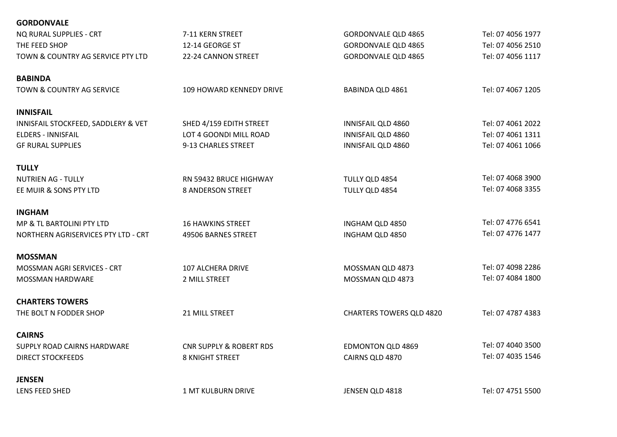| <b>GORDONVALE</b>                   |                                    |                                 |                   |
|-------------------------------------|------------------------------------|---------------------------------|-------------------|
| NQ RURAL SUPPLIES - CRT             | 7-11 KERN STREET                   | <b>GORDONVALE QLD 4865</b>      | Tel: 07 4056 1977 |
| THE FEED SHOP                       | 12-14 GEORGE ST                    | <b>GORDONVALE QLD 4865</b>      | Tel: 07 4056 2510 |
| TOWN & COUNTRY AG SERVICE PTY LTD   | 22-24 CANNON STREET                | <b>GORDONVALE QLD 4865</b>      | Tel: 07 4056 1117 |
| <b>BABINDA</b>                      |                                    |                                 |                   |
| TOWN & COUNTRY AG SERVICE           | 109 HOWARD KENNEDY DRIVE           | <b>BABINDA QLD 4861</b>         | Tel: 07 4067 1205 |
| <b>INNISFAIL</b>                    |                                    |                                 |                   |
| INNISFAIL STOCKFEED, SADDLERY & VET | SHED 4/159 EDITH STREET            | INNISFAIL QLD 4860              | Tel: 07 4061 2022 |
| <b>ELDERS - INNISFAIL</b>           | LOT 4 GOONDI MILL ROAD             | INNISFAIL QLD 4860              | Tel: 07 4061 1311 |
| <b>GF RURAL SUPPLIES</b>            | 9-13 CHARLES STREET                | INNISFAIL QLD 4860              | Tel: 07 4061 1066 |
| <b>TULLY</b>                        |                                    |                                 |                   |
| <b>NUTRIEN AG - TULLY</b>           | RN 59432 BRUCE HIGHWAY             | TULLY QLD 4854                  | Tel: 07 4068 3900 |
| EE MUIR & SONS PTY LTD              | <b>8 ANDERSON STREET</b>           | TULLY QLD 4854                  | Tel: 07 4068 3355 |
| <b>INGHAM</b>                       |                                    |                                 |                   |
| MP & TL BARTOLINI PTY LTD           | <b>16 HAWKINS STREET</b>           | INGHAM QLD 4850                 | Tel: 07 4776 6541 |
| NORTHERN AGRISERVICES PTY LTD - CRT | 49506 BARNES STREET                | INGHAM QLD 4850                 | Tel: 07 4776 1477 |
| <b>MOSSMAN</b>                      |                                    |                                 |                   |
| MOSSMAN AGRI SERVICES - CRT         | 107 ALCHERA DRIVE                  | MOSSMAN QLD 4873                | Tel: 07 4098 2286 |
| MOSSMAN HARDWARE                    | 2 MILL STREET                      | MOSSMAN QLD 4873                | Tel: 07 4084 1800 |
| <b>CHARTERS TOWERS</b>              |                                    |                                 |                   |
| THE BOLT N FODDER SHOP              | 21 MILL STREET                     | <b>CHARTERS TOWERS QLD 4820</b> | Tel: 07 4787 4383 |
| <b>CAIRNS</b>                       |                                    |                                 |                   |
| SUPPLY ROAD CAIRNS HARDWARE         | <b>CNR SUPPLY &amp; ROBERT RDS</b> | <b>EDMONTON QLD 4869</b>        | Tel: 07 4040 3500 |
| <b>DIRECT STOCKFEEDS</b>            | 8 KNIGHT STREET                    | CAIRNS QLD 4870                 | Tel: 07 4035 1546 |
| <b>JENSEN</b>                       |                                    |                                 |                   |
| LENS FEED SHED                      | <b>1 MT KULBURN DRIVE</b>          | JENSEN QLD 4818                 | Tel: 07 4751 5500 |
|                                     |                                    |                                 |                   |